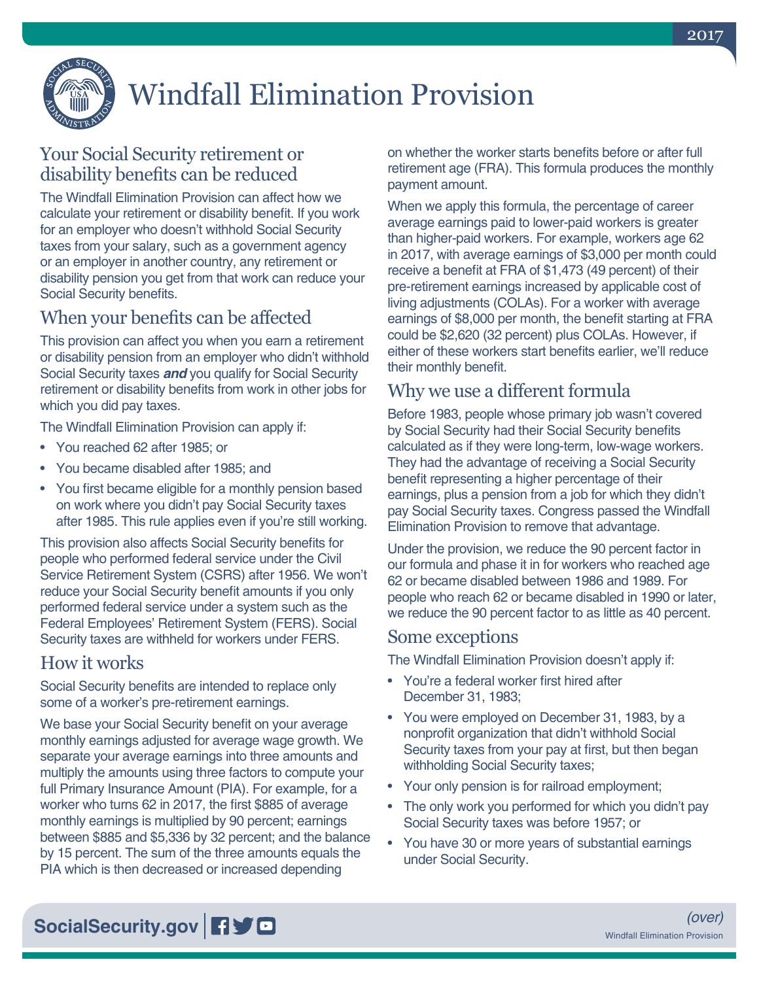

# Windfall Elimination Provision

## Your Social Security retirement or disability benefits can be reduced

The Windfall Elimination Provision can affect how we calculate your retirement or disability benefit. If you work for an employer who doesn't withhold Social Security taxes from your salary, such as a government agency or an employer in another country, any retirement or disability pension you get from that work can reduce your Social Security benefits.

## When your benefits can be affected

This provision can affect you when you earn a retirement or disability pension from an employer who didn't withhold Social Security taxes *and* you qualify for Social Security retirement or disability benefits from work in other jobs for which you did pay taxes.

The Windfall Elimination Provision can apply if:

- You reached 62 after 1985; or
- You became disabled after 1985; and
- You first became eligible for a monthly pension based on work where you didn't pay Social Security taxes after 1985. This rule applies even if you're still working.

This provision also affects Social Security benefits for people who performed federal service under the Civil Service Retirement System (CSRS) after 1956. We won't reduce your Social Security benefit amounts if you only performed federal service under a system such as the Federal Employees' Retirement System (FERS). Social Security taxes are withheld for workers under FERS.

## How it works

Social Security benefits are intended to replace only some of a worker's pre-retirement earnings.

We base your Social Security benefit on your average monthly earnings adjusted for average wage growth. We separate your average earnings into three amounts and multiply the amounts using three factors to compute your full Primary Insurance Amount (PIA). For example, for a worker who turns 62 in 2017, the first \$885 of average monthly earnings is multiplied by 90 percent; earnings between \$885 and \$5,336 by 32 percent; and the balance by 15 percent. The sum of the three amounts equals the PIA which is then decreased or increased depending

on whether the worker starts benefits before or after full retirement age (FRA). This formula produces the monthly payment amount.

When we apply this formula, the percentage of career average earnings paid to lower-paid workers is greater than higher-paid workers. For example, workers age 62 in 2017, with average earnings of \$3,000 per month could receive a benefit at FRA of \$1,473 (49 percent) of their pre-retirement earnings increased by applicable cost of living adjustments (COLAs). For a worker with average earnings of \$8,000 per month, the benefit starting at FRA could be \$2,620 (32 percent) plus COLAs. However, if either of these workers start benefits earlier, we'll reduce their monthly benefit.

#### Why we use a different formula

Before 1983, people whose primary job wasn't covered by Social Security had their Social Security benefits calculated as if they were long-term, low-wage workers. They had the advantage of receiving a Social Security benefit representing a higher percentage of their earnings, plus a pension from a job for which they didn't pay Social Security taxes. Congress passed the Windfall Elimination Provision to remove that advantage.

Under the provision, we reduce the 90 percent factor in our formula and phase it in for workers who reached age 62 or became disabled between 1986 and 1989. For people who reach 62 or became disabled in 1990 or later, we reduce the 90 percent factor to as little as 40 percent.

#### Some exceptions

The Windfall Elimination Provision doesn't apply if:

- You're a federal worker first hired after December 31, 1983;
- You were employed on December 31, 1983, by a nonprofit organization that didn't withhold Social Security taxes from your pay at first, but then began withholding Social Security taxes;
- Your only pension is for railroad employment;
- The only work you performed for which you didn't pay Social Security taxes was before 1957; or
- You have 30 or more years of substantial earnings under Social Security.